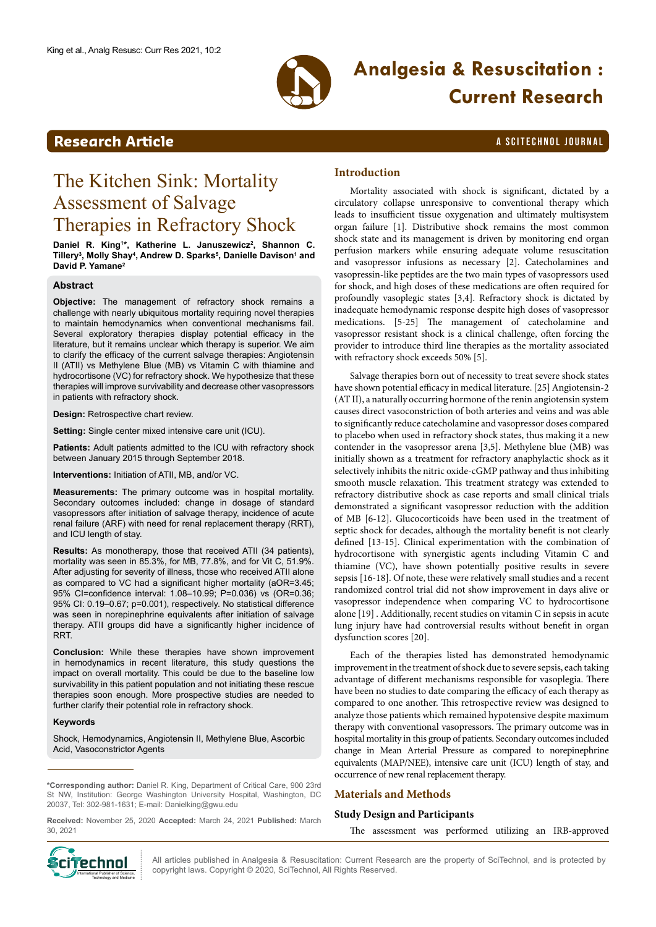

# **Analgesia & Resuscitation : Current Research**

# **Research Article a Scittering Community Community Community** A SCITECHNOL JOURNAL

# The Kitchen Sink: Mortality Assessment of Salvage Therapies in Refractory Shock

Daniel R. King<sup>1\*</sup>, Katherine L. Januszewicz<sup>2</sup>, Shannon C. **Tillery3 , Molly Shay4 , Andrew D. Sparks5 , Danielle Davison1 and David P. Yamane2**

### **Abstract**

**Objective:** The management of refractory shock remains a challenge with nearly ubiquitous mortality requiring novel therapies to maintain hemodynamics when conventional mechanisms fail. Several exploratory therapies display potential efficacy in the literature, but it remains unclear which therapy is superior. We aim to clarify the efficacy of the current salvage therapies: Angiotensin II (ATII) vs Methylene Blue (MB) vs Vitamin C with thiamine and hydrocortisone (VC) for refractory shock. We hypothesize that these therapies will improve survivability and decrease other vasopressors in patients with refractory shock.

**Design:** Retrospective chart review.

**Setting:** Single center mixed intensive care unit (ICU).

Patients: Adult patients admitted to the ICU with refractory shock between January 2015 through September 2018.

**Interventions:** Initiation of ATII, MB, and/or VC.

**Measurements:** The primary outcome was in hospital mortality. Secondary outcomes included: change in dosage of standard vasopressors after initiation of salvage therapy, incidence of acute renal failure (ARF) with need for renal replacement therapy (RRT), and ICU length of stay.

**Results:** As monotherapy, those that received ATII (34 patients), mortality was seen in 85.3%, for MB, 77.8%, and for Vit C, 51.9%. After adjusting for severity of illness, those who received ATII alone as compared to VC had a significant higher mortality (aOR=3.45; 95% CI=confidence interval: 1.08–10.99; P=0.036) vs (OR=0.36; 95% CI: 0.19–0.67; p=0.001), respectively. No statistical difference was seen in norepinephrine equivalents after initiation of salvage therapy. ATII groups did have a significantly higher incidence of RRT.

**Conclusion:** While these therapies have shown improvement in hemodynamics in recent literature, this study questions the impact on overall mortality. This could be due to the baseline low survivability in this patient population and not initiating these rescue therapies soon enough. More prospective studies are needed to further clarify their potential role in refractory shock.

### **Keywords**

Shock, Hemodynamics, Angiotensin II, Methylene Blue, Ascorbic Acid, Vasoconstrictor Agents

**\*Corresponding author:** Daniel R. King, Department of Critical Care, 900 23rd St NW, Institution: George Washington University Hospital, Washington, DC 20037, Tel: 302-981-1631; E-mail: Danielking@gwu.edu

**Received:** November 25, 2020 **Accepted:** March 24, 2021 **Published:** March 30, 2021

# **Introduction**

Mortality associated with shock is significant, dictated by a circulatory collapse unresponsive to conventional therapy which leads to insufficient tissue oxygenation and ultimately multisystem organ failure [1]. Distributive shock remains the most common shock state and its management is driven by monitoring end organ perfusion markers while ensuring adequate volume resuscitation and vasopressor infusions as necessary [2]. Catecholamines and vasopressin-like peptides are the two main types of vasopressors used for shock, and high doses of these medications are often required for profoundly vasoplegic states [3,4]. Refractory shock is dictated by inadequate hemodynamic response despite high doses of vasopressor medications. [5-25] The management of catecholamine and vasopressor resistant shock is a clinical challenge, often forcing the provider to introduce third line therapies as the mortality associated with refractory shock exceeds 50% [5].

Salvage therapies born out of necessity to treat severe shock states have shown potential efficacy in medical literature. [25] Angiotensin-2 (AT II), a naturally occurring hormone of the renin angiotensin system causes direct vasoconstriction of both arteries and veins and was able to significantly reduce catecholamine and vasopressor doses compared to placebo when used in refractory shock states, thus making it a new contender in the vasopressor arena [3,5]. Methylene blue (MB) was initially shown as a treatment for refractory anaphylactic shock as it selectively inhibits the nitric oxide-cGMP pathway and thus inhibiting smooth muscle relaxation. This treatment strategy was extended to refractory distributive shock as case reports and small clinical trials demonstrated a significant vasopressor reduction with the addition of MB [6-12]. Glucocorticoids have been used in the treatment of septic shock for decades, although the mortality benefit is not clearly defined [13-15]. Clinical experimentation with the combination of hydrocortisone with synergistic agents including Vitamin C and thiamine (VC), have shown potentially positive results in severe sepsis [16-18]. Of note, these were relatively small studies and a recent randomized control trial did not show improvement in days alive or vasopressor independence when comparing VC to hydrocortisone alone [19] . Additionally, recent studies on vitamin C in sepsis in acute lung injury have had controversial results without benefit in organ dysfunction scores [20].

Each of the therapies listed has demonstrated hemodynamic improvement in the treatment of shock due to severe sepsis, each taking advantage of different mechanisms responsible for vasoplegia. There have been no studies to date comparing the efficacy of each therapy as compared to one another. This retrospective review was designed to analyze those patients which remained hypotensive despite maximum therapy with conventional vasopressors. The primary outcome was in hospital mortality in this group of patients. Secondary outcomes included change in Mean Arterial Pressure as compared to norepinephrine equivalents (MAP/NEE), intensive care unit (ICU) length of stay, and occurrence of new renal replacement therapy.

# **Materials and Methods**

### **Study Design and Participants**

The assessment was performed utilizing an IRB-approved



All articles published in Analgesia & Resuscitation: Current Research are the property of SciTechnol, and is protected by cinemal All articles published in Analgesia & Resuscitation: Current Reserved.<br>International Public Copyright laws. Copyright © 2020, SciTechnol, All Rights Reserved.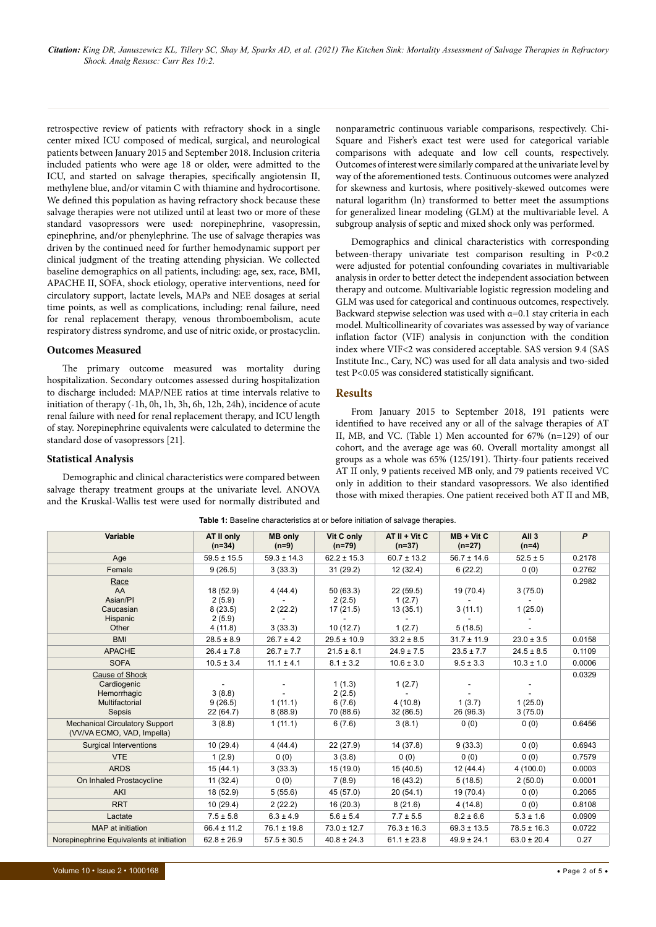retrospective review of patients with refractory shock in a single center mixed ICU composed of medical, surgical, and neurological patients between January 2015 and September 2018. Inclusion criteria included patients who were age 18 or older, were admitted to the ICU, and started on salvage therapies, specifically angiotensin II, methylene blue, and/or vitamin C with thiamine and hydrocortisone. We defined this population as having refractory shock because these salvage therapies were not utilized until at least two or more of these standard vasopressors were used: norepinephrine, vasopressin, epinephrine, and/or phenylephrine. The use of salvage therapies was driven by the continued need for further hemodynamic support per clinical judgment of the treating attending physician. We collected baseline demographics on all patients, including: age, sex, race, BMI, APACHE II, SOFA, shock etiology, operative interventions, need for circulatory support, lactate levels, MAPs and NEE dosages at serial time points, as well as complications, including: renal failure, need for renal replacement therapy, venous thromboembolism, acute respiratory distress syndrome, and use of nitric oxide, or prostacyclin.

#### **Outcomes Measured**

The primary outcome measured was mortality during hospitalization. Secondary outcomes assessed during hospitalization to discharge included: MAP/NEE ratios at time intervals relative to initiation of therapy (-1h, 0h, 1h, 3h, 6h, 12h, 24h), incidence of acute renal failure with need for renal replacement therapy, and ICU length of stay. Norepinephrine equivalents were calculated to determine the standard dose of vasopressors [21].

#### **Statistical Analysis**

Demographic and clinical characteristics were compared between salvage therapy treatment groups at the univariate level. ANOVA and the Kruskal-Wallis test were used for normally distributed and

nonparametric continuous variable comparisons, respectively. Chi-Square and Fisher's exact test were used for categorical variable comparisons with adequate and low cell counts, respectively. Outcomes of interest were similarly compared at the univariate level by way of the aforementioned tests. Continuous outcomes were analyzed for skewness and kurtosis, where positively-skewed outcomes were natural logarithm (ln) transformed to better meet the assumptions for generalized linear modeling (GLM) at the multivariable level. A subgroup analysis of septic and mixed shock only was performed.

Demographics and clinical characteristics with corresponding between-therapy univariate test comparison resulting in P<0.2 were adjusted for potential confounding covariates in multivariable analysis in order to better detect the independent association between therapy and outcome. Multivariable logistic regression modeling and GLM was used for categorical and continuous outcomes, respectively. Backward stepwise selection was used with  $\alpha$ =0.1 stay criteria in each model. Multicollinearity of covariates was assessed by way of variance inflation factor (VIF) analysis in conjunction with the condition index where VIF<2 was considered acceptable. SAS version 9.4 (SAS Institute Inc., Cary, NC) was used for all data analysis and two-sided test P<0.05 was considered statistically significant.

# **Results**

From January 2015 to September 2018, 191 patients were identified to have received any or all of the salvage therapies of AT II, MB, and VC. (Table 1) Men accounted for 67% (n=129) of our cohort, and the average age was 60. Overall mortality amongst all groups as a whole was 65% (125/191). Thirty-four patients received AT II only, 9 patients received MB only, and 79 patients received VC only in addition to their standard vasopressors. We also identified those with mixed therapies. One patient received both AT II and MB,

| Variable                                                                        | AT II only<br>$(n=34)$                              | <b>MB only</b><br>$(n=9)$     | Vit C only<br>$(n=79)$                     | $AT II + Vit C$<br>$(n=37)$              | $MB + Vit C$<br>$(n=27)$        | All <sub>3</sub><br>$(n=4)$ | $\mathsf{P}$ |
|---------------------------------------------------------------------------------|-----------------------------------------------------|-------------------------------|--------------------------------------------|------------------------------------------|---------------------------------|-----------------------------|--------------|
| Age                                                                             | $59.5 \pm 15.5$                                     | $59.3 \pm 14.3$               | $62.2 \pm 15.3$                            | $60.7 \pm 13.2$                          | $56.7 \pm 14.6$                 | $52.5 \pm 5$                | 0.2178       |
| Female                                                                          | 9(26.5)                                             | 3(33.3)                       | 31(29.2)                                   | 12 (32.4)                                | 6(22.2)                         | 0(0)                        | 0.2762       |
| Race<br>AA<br>Asian/PI<br>Caucasian<br>Hispanic<br>Other                        | 18 (52.9)<br>2(5.9)<br>8(23.5)<br>2(5.9)<br>4(11.8) | 4(44.4)<br>2(22.2)<br>3(33.3) | 50(63.3)<br>2(2.5)<br>17(21.5)<br>10(12.7) | 22(59.5)<br>1(2.7)<br>13(35.1)<br>1(2.7) | 19 (70.4)<br>3(11.1)<br>5(18.5) | 3(75.0)<br>1(25.0)          | 0.2982       |
| <b>BMI</b>                                                                      | $28.5 \pm 8.9$                                      | $26.7 \pm 4.2$                | $29.5 \pm 10.9$                            | $33.2 \pm 8.5$                           | $31.7 \pm 11.9$                 | $23.0 \pm 3.5$              | 0.0158       |
| <b>APACHE</b>                                                                   | $26.4 \pm 7.8$                                      | $26.7 \pm 7.7$                | $21.5 \pm 8.1$                             | $24.9 \pm 7.5$                           | $23.5 \pm 7.7$                  | $24.5 \pm 8.5$              | 0.1109       |
| <b>SOFA</b>                                                                     | $10.5 \pm 3.4$                                      | $11.1 \pm 4.1$                | $8.1 \pm 3.2$                              | $10.6 \pm 3.0$                           | $9.5 \pm 3.3$                   | $10.3 \pm 1.0$              | 0.0006       |
| <b>Cause of Shock</b><br>Cardiogenic<br>Hemorrhagic<br>Multifactorial<br>Sepsis | 3(8.8)<br>9(26.5)<br>22 (64.7)                      | 1(11.1)<br>8(88.9)            | 1(1.3)<br>2(2.5)<br>6(7.6)<br>70 (88.6)    | 1(2.7)<br>4(10.8)<br>32 (86.5)           | 1(3.7)<br>26 (96.3)             | 1(25.0)<br>3(75.0)          | 0.0329       |
| <b>Mechanical Circulatory Support</b><br>(VV/VA ECMO, VAD, Impella)             | 3(8.8)                                              | 1(11.1)                       | 6(7.6)                                     | 3(8.1)                                   | 0(0)                            | 0(0)                        | 0.6456       |
| <b>Surgical Interventions</b>                                                   | 10(29.4)                                            | 4(44.4)                       | 22 (27.9)                                  | 14 (37.8)                                | 9(33.3)                         | 0(0)                        | 0.6943       |
| <b>VTE</b>                                                                      | 1(2.9)                                              | 0(0)                          | 3(3.8)                                     | 0(0)                                     | 0(0)                            | 0(0)                        | 0.7579       |
| <b>ARDS</b>                                                                     | 15(44.1)                                            | 3(33.3)                       | 15 (19.0)                                  | 15 (40.5)                                | 12 (44.4)                       | 4(100.0)                    | 0.0003       |
| On Inhaled Prostacycline                                                        | 11(32.4)                                            | 0(0)                          | 7(8.9)                                     | 16 (43.2)                                | 5(18.5)                         | 2(50.0)                     | 0.0001       |
| AKI                                                                             | 18 (52.9)                                           | 5(55.6)                       | 45 (57.0)                                  | 20(54.1)                                 | 19 (70.4)                       | 0(0)                        | 0.2065       |
| <b>RRT</b>                                                                      | 10(29.4)                                            | 2(22.2)                       | 16 (20.3)                                  | 8(21.6)                                  | 4(14.8)                         | 0(0)                        | 0.8108       |
| Lactate                                                                         | $7.5 \pm 5.8$                                       | $6.3 \pm 4.9$                 | $5.6 \pm 5.4$                              | $7.7 \pm 5.5$                            | $8.2 \pm 6.6$                   | $5.3 \pm 1.6$               | 0.0909       |
| MAP at initiation                                                               | $66.4 \pm 11.2$                                     | $76.1 \pm 19.8$               | $73.0 \pm 12.7$                            | $76.3 \pm 16.3$                          | $69.3 \pm 13.5$                 | $78.5 \pm 16.3$             | 0.0722       |
| Norepinephrine Equivalents at initiation                                        | $62.8 \pm 26.9$                                     | $57.5 \pm 30.5$               | $40.8 \pm 24.3$                            | $61.1 \pm 23.8$                          | $49.9 \pm 24.1$                 | $63.0 \pm 20.4$             | 0.27         |

**Table 1:** Baseline characteristics at or before initiation of salvage therapies.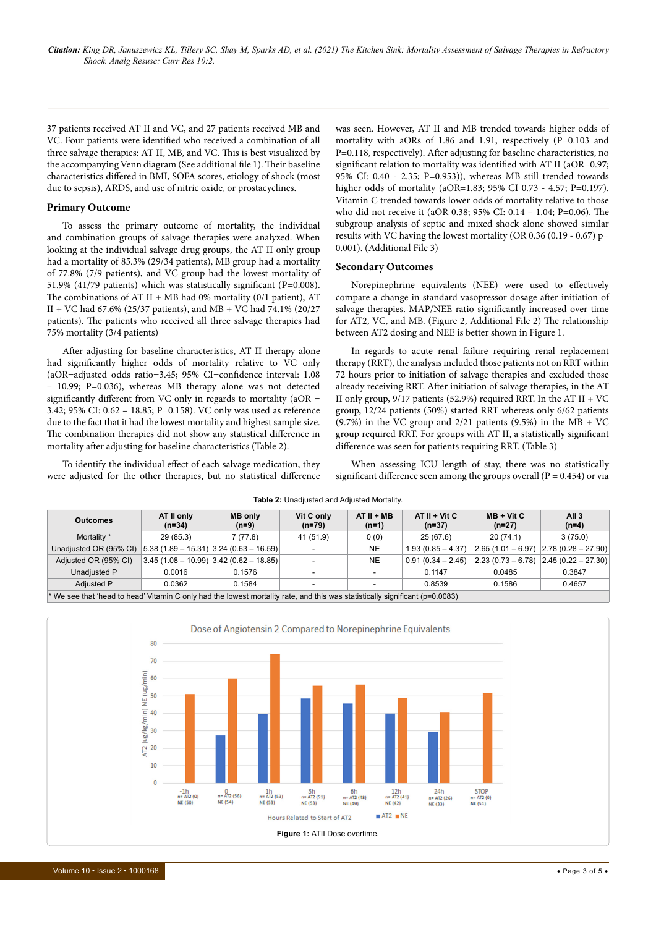37 patients received AT II and VC, and 27 patients received MB and VC. Four patients were identified who received a combination of all three salvage therapies: AT II, MB, and VC. This is best visualized by the accompanying Venn diagram (See additional file 1). Their baseline characteristics differed in BMI, SOFA scores, etiology of shock (most due to sepsis), ARDS, and use of nitric oxide, or prostacyclines.

#### **Primary Outcome**

To assess the primary outcome of mortality, the individual and combination groups of salvage therapies were analyzed. When looking at the individual salvage drug groups, the AT II only group had a mortality of 85.3% (29/34 patients), MB group had a mortality of 77.8% (7/9 patients), and VC group had the lowest mortality of 51.9% (41/79 patients) which was statistically significant (P=0.008). The combinations of AT II + MB had 0% mortality (0/1 patient), AT II + VC had 67.6% (25/37 patients), and MB + VC had 74.1% (20/27 patients). The patients who received all three salvage therapies had 75% mortality (3/4 patients)

After adjusting for baseline characteristics, AT II therapy alone had significantly higher odds of mortality relative to VC only (aOR=adjusted odds ratio=3.45; 95% CI=confidence interval: 1.08 – 10.99; P=0.036), whereas MB therapy alone was not detected significantly different from VC only in regards to mortality ( $aOR =$ 3.42; 95% CI: 0.62 – 18.85; P=0.158). VC only was used as reference due to the fact that it had the lowest mortality and highest sample size. The combination therapies did not show any statistical difference in mortality after adjusting for baseline characteristics (Table 2).

To identify the individual effect of each salvage medication, they were adjusted for the other therapies, but no statistical difference

was seen. However, AT II and MB trended towards higher odds of mortality with aORs of 1.86 and 1.91, respectively (P=0.103 and P=0.118, respectively). After adjusting for baseline characteristics, no significant relation to mortality was identified with AT II (aOR=0.97; 95% CI: 0.40 - 2.35; P=0.953)), whereas MB still trended towards higher odds of mortality (aOR=1.83; 95% CI 0.73 - 4.57; P=0.197). Vitamin C trended towards lower odds of mortality relative to those who did not receive it (aOR 0.38; 95% CI: 0.14 – 1.04; P=0.06). The subgroup analysis of septic and mixed shock alone showed similar results with VC having the lowest mortality (OR 0.36 (0.19 - 0.67) p= 0.001). (Additional File 3)

#### **Secondary Outcomes**

Norepinephrine equivalents (NEE) were used to effectively compare a change in standard vasopressor dosage after initiation of salvage therapies. MAP/NEE ratio significantly increased over time for AT2, VC, and MB. (Figure 2, Additional File 2) The relationship between AT2 dosing and NEE is better shown in Figure 1.

In regards to acute renal failure requiring renal replacement therapy (RRT), the analysis included those patients not on RRT within 72 hours prior to initiation of salvage therapies and excluded those already receiving RRT. After initiation of salvage therapies, in the AT II only group,  $9/17$  patients (52.9%) required RRT. In the AT II + VC group, 12/24 patients (50%) started RRT whereas only 6/62 patients (9.7%) in the VC group and 2/21 patients (9.5%) in the MB + VC group required RRT. For groups with AT II, a statistically significant difference was seen for patients requiring RRT. (Table 3)

When assessing ICU length of stay, there was no statistically significant difference seen among the groups overall ( $P = 0.454$ ) or via

| <b>Outcomes</b>                                                                                                                | AT II only<br>$(n=34)$ | <b>MB only</b><br>$(n=9)$                 | Vit C only<br>$(n=79)$ | $AT II + MB$<br>$(n=1)$ | $AT II + Vit C$<br>$(n=37)$ | $MB + Vit C$<br>$(n=27)$ | All 3<br>$(n=4)$       |
|--------------------------------------------------------------------------------------------------------------------------------|------------------------|-------------------------------------------|------------------------|-------------------------|-----------------------------|--------------------------|------------------------|
| Mortality *                                                                                                                    | 29 (85.3)              | 7(77.8)                                   | 41 (51.9)              | 0(0)                    | 25 (67.6)                   | 20(74.1)                 | 3(75.0)                |
| Unadiusted OR (95% CI)                                                                                                         |                        | $ 5.38(1.89 - 15.31) 3.24(0.63 - 16.59) $ |                        | <b>NE</b>               | $1.93(0.85 - 4.37)$         | $2.65(1.01 - 6.97)$      | $ 2.78(0.28 - 27.90) $ |
| Adjusted OR (95% CI)                                                                                                           |                        | $3.45(1.08 - 10.99)$ 3.42 (0.62 - 18.85)  |                        | <b>NE</b>               | $0.91(0.34 - 2.45)$         | $2.23(0.73 - 6.78)$      | $ 2.45(0.22 - 27.30) $ |
| Unadjusted P                                                                                                                   | 0.0016                 | 0.1576                                    |                        |                         | 0.1147                      | 0.0485                   | 0.3847                 |
| Adjusted P                                                                                                                     | 0.0362                 | 0.1584                                    |                        |                         | 0.8539                      | 0.1586                   | 0.4657                 |
| $*$ We see that 'bead to bead' Vitamin C only had the lowest mortality rate, and this was statistically significant (p=0,0083) |                        |                                           |                        |                         |                             |                          |                        |

**Table 2:** Unadjusted and Adjusted Mortality.

\* We see that 'head to head' Vitamin C only had the lowest mortality rate, and this was statistically significant (p=0.0083)

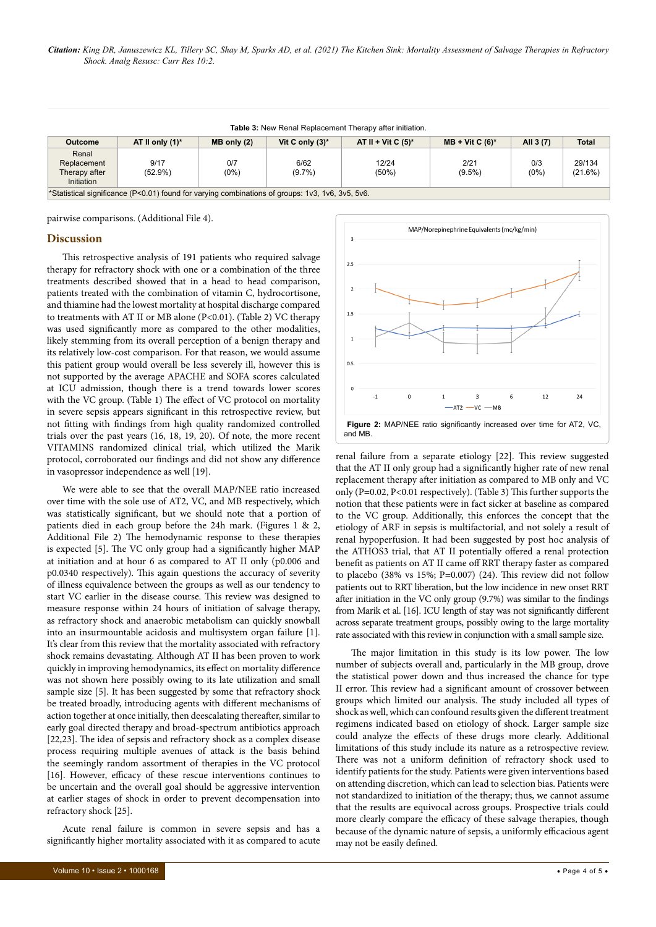| <b>Table 3: New Renal Replacement Therapy after initiation.</b>                                  |                    |                 |                    |                       |                   |                |                   |  |  |
|--------------------------------------------------------------------------------------------------|--------------------|-----------------|--------------------|-----------------------|-------------------|----------------|-------------------|--|--|
| Outcome                                                                                          | AT II only $(1)^*$ | $MB$ only $(2)$ | Vit C only $(3)^*$ | AT II + Vit C $(5)^*$ | $MB + Vit C (6)*$ | All 3 (7)      | <b>Total</b>      |  |  |
| Renal<br>Replacement<br>Therapy after<br>Initiation                                              | 9/17<br>$(52.9\%)$ | 0/7<br>$(0\%)$  | 6/62<br>$(9.7\%)$  | 12/24<br>$(50\%)$     | 2/21<br>$(9.5\%)$ | 0/3<br>$(0\%)$ | 29/134<br>(21.6%) |  |  |
| *Statistical significance (P<0.01) found for varying combinations of groups: 1v3, 1v6, 3v5, 5v6. |                    |                 |                    |                       |                   |                |                   |  |  |

pairwise comparisons. (Additional File 4).

### **Discussion**

This retrospective analysis of 191 patients who required salvage therapy for refractory shock with one or a combination of the three treatments described showed that in a head to head comparison, patients treated with the combination of vitamin C, hydrocortisone, and thiamine had the lowest mortality at hospital discharge compared to treatments with AT II or MB alone (P<0.01). (Table 2) VC therapy was used significantly more as compared to the other modalities, likely stemming from its overall perception of a benign therapy and its relatively low-cost comparison. For that reason, we would assume this patient group would overall be less severely ill, however this is not supported by the average APACHE and SOFA scores calculated at ICU admission, though there is a trend towards lower scores with the VC group. (Table 1) The effect of VC protocol on mortality in severe sepsis appears significant in this retrospective review, but not fitting with findings from high quality randomized controlled trials over the past years (16, 18, 19, 20). Of note, the more recent VITAMINS randomized clinical trial, which utilized the Marik protocol, corroborated our findings and did not show any difference in vasopressor independence as well [19].

We were able to see that the overall MAP/NEE ratio increased over time with the sole use of AT2, VC, and MB respectively, which was statistically significant, but we should note that a portion of patients died in each group before the 24h mark. (Figures 1 & 2, Additional File 2) The hemodynamic response to these therapies is expected [5]. The VC only group had a significantly higher MAP at initiation and at hour 6 as compared to AT II only (p0.006 and p0.0340 respectively). This again questions the accuracy of severity of illness equivalence between the groups as well as our tendency to start VC earlier in the disease course. This review was designed to measure response within 24 hours of initiation of salvage therapy, as refractory shock and anaerobic metabolism can quickly snowball into an insurmountable acidosis and multisystem organ failure [1]. It's clear from this review that the mortality associated with refractory shock remains devastating. Although AT II has been proven to work quickly in improving hemodynamics, its effect on mortality difference was not shown here possibly owing to its late utilization and small sample size [5]. It has been suggested by some that refractory shock be treated broadly, introducing agents with different mechanisms of action together at once initially, then deescalating thereafter, similar to early goal directed therapy and broad-spectrum antibiotics approach [22,23]. The idea of sepsis and refractory shock as a complex disease process requiring multiple avenues of attack is the basis behind the seemingly random assortment of therapies in the VC protocol [16]. However, efficacy of these rescue interventions continues to be uncertain and the overall goal should be aggressive intervention at earlier stages of shock in order to prevent decompensation into refractory shock [25].

Acute renal failure is common in severe sepsis and has a significantly higher mortality associated with it as compared to acute



renal failure from a separate etiology [22]. This review suggested that the AT II only group had a significantly higher rate of new renal replacement therapy after initiation as compared to MB only and VC only (P=0.02, P<0.01 respectively). (Table 3) This further supports the notion that these patients were in fact sicker at baseline as compared to the VC group. Additionally, this enforces the concept that the etiology of ARF in sepsis is multifactorial, and not solely a result of renal hypoperfusion. It had been suggested by post hoc analysis of the ATHOS3 trial, that AT II potentially offered a renal protection benefit as patients on AT II came off RRT therapy faster as compared to placebo (38% vs 15%; P=0.007) (24). This review did not follow patients out to RRT liberation, but the low incidence in new onset RRT after initiation in the VC only group (9.7%) was similar to the findings from Marik et al. [16]. ICU length of stay was not significantly different across separate treatment groups, possibly owing to the large mortality rate associated with this review in conjunction with a small sample size.

The major limitation in this study is its low power. The low number of subjects overall and, particularly in the MB group, drove the statistical power down and thus increased the chance for type II error. This review had a significant amount of crossover between groups which limited our analysis. The study included all types of shock as well, which can confound results given the different treatment regimens indicated based on etiology of shock. Larger sample size could analyze the effects of these drugs more clearly. Additional limitations of this study include its nature as a retrospective review. There was not a uniform definition of refractory shock used to identify patients for the study. Patients were given interventions based on attending discretion, which can lead to selection bias. Patients were not standardized to initiation of the therapy; thus, we cannot assume that the results are equivocal across groups. Prospective trials could more clearly compare the efficacy of these salvage therapies, though because of the dynamic nature of sepsis, a uniformly efficacious agent may not be easily defined.